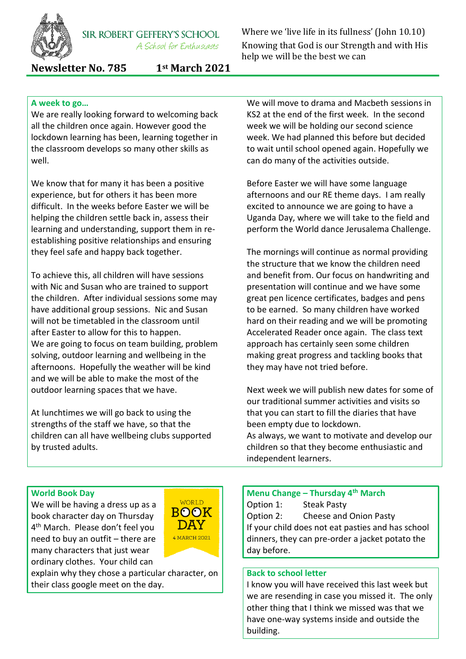

**SIR ROBERT GEFFERY'S SCHOOL** A School for Enthusiasts

Where we 'live life in its fullness' (John 10.10) Knowing that God is our Strength and with His help we will be the best we can

**Newsletter No. 785 1st March 2021**

### **A week to go…**

We are really looking forward to welcoming back all the children once again. However good the lockdown learning has been, learning together in the classroom develops so many other skills as well.

We know that for many it has been a positive experience, but for others it has been more difficult. In the weeks before Easter we will be helping the children settle back in, assess their learning and understanding, support them in reestablishing positive relationships and ensuring they feel safe and happy back together.

To achieve this, all children will have sessions with Nic and Susan who are trained to support the children. After individual sessions some may have additional group sessions. Nic and Susan will not be timetabled in the classroom until after Easter to allow for this to happen. We are going to focus on team building, problem solving, outdoor learning and wellbeing in the afternoons. Hopefully the weather will be kind and we will be able to make the most of the outdoor learning spaces that we have.

At lunchtimes we will go back to using the strengths of the staff we have, so that the children can all have wellbeing clubs supported by trusted adults.

We will move to drama and Macbeth sessions in KS2 at the end of the first week. In the second week we will be holding our second science week. We had planned this before but decided to wait until school opened again. Hopefully we can do many of the activities outside.

Before Easter we will have some language afternoons and our RE theme days. I am really excited to announce we are going to have a Uganda Day, where we will take to the field and perform the World dance Jerusalema Challenge.

The mornings will continue as normal providing the structure that we know the children need and benefit from. Our focus on handwriting and presentation will continue and we have some great pen licence certificates, badges and pens to be earned. So many children have worked hard on their reading and we will be promoting Accelerated Reader once again. The class text approach has certainly seen some children making great progress and tackling books that they may have not tried before.

Next week we will publish new dates for some of our traditional summer activities and visits so that you can start to fill the diaries that have been empty due to lockdown. As always, we want to motivate and develop our children so that they become enthusiastic and independent learners.

#### **World Book Day**

We will be having a dress up as a book character day on Thursday 4 th March. Please don't feel you need to buy an outfit – there are many characters that just wear ordinary clothes. Your child can



explain why they chose a particular character, on their class google meet on the day.

**Menu Change – Thursday 4th March** Option 1: Steak Pasty Option 2: Cheese and Onion Pasty If your child does not eat pasties and has school dinners, they can pre-order a jacket potato the day before.

#### **Back to school letter**

I know you will have received this last week but we are resending in case you missed it. The only other thing that I think we missed was that we have one-way systems inside and outside the building.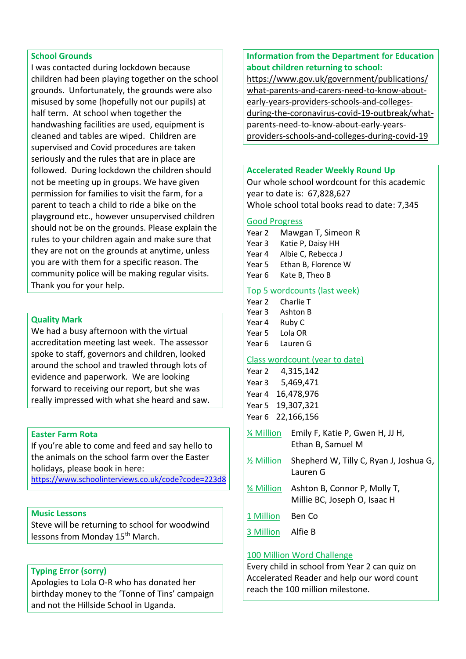#### **School Grounds**

I was contacted during lockdown because children had been playing together on the school grounds. Unfortunately, the grounds were also misused by some (hopefully not our pupils) at half term. At school when together the handwashing facilities are used, equipment is cleaned and tables are wiped. Children are supervised and Covid procedures are taken seriously and the rules that are in place are followed. During lockdown the children should not be meeting up in groups. We have given permission for families to visit the farm, for a parent to teach a child to ride a bike on the playground etc., however unsupervised children should not be on the grounds. Please explain the rules to your children again and make sure that they are not on the grounds at anytime, unless you are with them for a specific reason. The community police will be making regular visits. Thank you for your help.

#### **Quality Mark**

We had a busy afternoon with the virtual accreditation meeting last week. The assessor spoke to staff, governors and children, looked around the school and trawled through lots of evidence and paperwork. We are looking forward to receiving our report, but she was really impressed with what she heard and saw.

#### **Easter Farm Rota**

If you're able to come and feed and say hello to the animals on the school farm over the Easter holidays, please book in here:

<https://www.schoolinterviews.co.uk/code?code=223d8>

#### **Music Lessons**

Steve will be returning to school for woodwind lessons from Monday 15<sup>th</sup> March.

#### **Typing Error (sorry)**

Apologies to Lola O-R who has donated her birthday money to the 'Tonne of Tins' campaign and not the Hillside School in Uganda.

#### **Information from the Department for Education about children returning to school:**

[https://www.gov.uk/government/publications/](https://www.gov.uk/government/publications/what-parents-and-carers-need-to-know-about-early-years-providers-schools-and-colleges-during-the-coronavirus-covid-19-outbreak/what-parents-need-to-know-about-early-years-providers-schools-and-colleges-during-covid-19) [what-parents-and-carers-need-to-know-about](https://www.gov.uk/government/publications/what-parents-and-carers-need-to-know-about-early-years-providers-schools-and-colleges-during-the-coronavirus-covid-19-outbreak/what-parents-need-to-know-about-early-years-providers-schools-and-colleges-during-covid-19)[early-years-providers-schools-and-colleges](https://www.gov.uk/government/publications/what-parents-and-carers-need-to-know-about-early-years-providers-schools-and-colleges-during-the-coronavirus-covid-19-outbreak/what-parents-need-to-know-about-early-years-providers-schools-and-colleges-during-covid-19)[during-the-coronavirus-covid-19-outbreak/what](https://www.gov.uk/government/publications/what-parents-and-carers-need-to-know-about-early-years-providers-schools-and-colleges-during-the-coronavirus-covid-19-outbreak/what-parents-need-to-know-about-early-years-providers-schools-and-colleges-during-covid-19)[parents-need-to-know-about-early-years](https://www.gov.uk/government/publications/what-parents-and-carers-need-to-know-about-early-years-providers-schools-and-colleges-during-the-coronavirus-covid-19-outbreak/what-parents-need-to-know-about-early-years-providers-schools-and-colleges-during-covid-19)[providers-schools-and-colleges-during-covid-19](https://www.gov.uk/government/publications/what-parents-and-carers-need-to-know-about-early-years-providers-schools-and-colleges-during-the-coronavirus-covid-19-outbreak/what-parents-need-to-know-about-early-years-providers-schools-and-colleges-during-covid-19)

#### **Accelerated Reader Weekly Round Up**

Our whole school wordcount for this academic year to date is: 67,828,627 Whole school total books read to date: 7,345

#### Good Progress

- Year 2 Mawgan T, Simeon R
- Year 3 Katie P, Daisy HH
- Year 4 Albie C, Rebecca J
- Year 5 Ethan B, Florence W
- Year 6 Kate B. Theo B

#### Top 5 wordcounts (last week)

| Year 2 | Charlie T |
|--------|-----------|
| Year 3 | Ashton B  |
| Year 4 | Ruby C    |
| Year 5 | Lola OR   |

Year 6 Lauren G

#### Class wordcount (year to date)

| Year 2            | 4,315,142  |
|-------------------|------------|
| Year <sub>3</sub> | 5,469,471  |
| Year 4            | 16,478,976 |
| Year <sub>5</sub> | 19,307,321 |
| Year <sub>6</sub> | 22,166,156 |

- ¼ Million Emily F, Katie P, Gwen H, JJ H, Ethan B, Samuel M
- ½ Million Shepherd W, Tilly C, Ryan J, Joshua G, Lauren G
- ¾ Million Ashton B, Connor P, Molly T, Millie BC, Joseph O, Isaac H
- 1 Million Ben Co
- 3 Million Alfie B

#### 100 Million Word Challenge

Every child in school from Year 2 can quiz on Accelerated Reader and help our word count reach the 100 million milestone.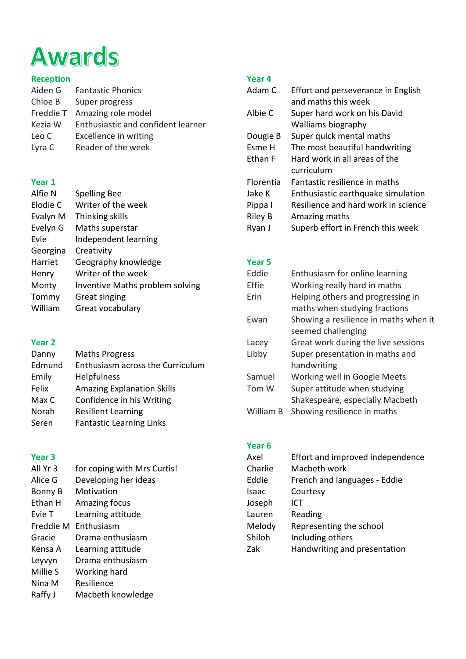# **Awards**

## **Reception**

| Aiden G   | <b>Fantastic Phonics</b>           |
|-----------|------------------------------------|
| Chloe B   | Super progress                     |
| Freddie T | Amazing role model                 |
| Kezia W   | Enthusiastic and confident learner |
| Leo C     | Excellence in writing              |
| Lyra C    | Reader of the week                 |

## **Year 1**

| Alfie N  | <b>Spelling Bee</b>             |
|----------|---------------------------------|
| Elodie C | Writer of the week              |
| Evalyn M | Thinking skills                 |
| Evelyn G | Maths superstar                 |
| Evie     | Independent learning            |
| Georgina | Creativity                      |
| Harriet  | Geography knowledge             |
| Henry    | Writer of the week              |
| Monty    | Inventive Maths problem solving |
| Tommy    | Great singing                   |
| William  | Great vocabulary                |
|          |                                 |

## **Year 2**

| Danny  | <b>Maths Progress</b>             |
|--------|-----------------------------------|
| Edmund | Enthusiasm across the Curriculum  |
| Emily  | <b>Helpfulness</b>                |
| Felix  | <b>Amazing Explanation Skills</b> |
| Max C  | Confidence in his Writing         |
| Norah  | <b>Resilient Learning</b>         |
| Seren  | <b>Fantastic Learning Links</b>   |

## **Year 3**

| All Yr 3  | for coping with Mrs Curtis! |
|-----------|-----------------------------|
| Alice G   | Developing her ideas        |
| Bonny B   | Motivation                  |
| Ethan H   | Amazing focus               |
| Evie T    | Learning attitude           |
| Freddie M | Enthusiasm                  |
| Gracie    | Drama enthusiasm            |
| Kensa A   | Learning attitude           |
| Leyvyn    | Drama enthusiasm            |
| Millie S  | Working hard                |
| Nina M    | Resilience                  |
| Raffy J   | Macbeth knowledge           |

## **Year 4**

| Adam C           | Effort and perseverance in English<br>and maths this week |
|------------------|-----------------------------------------------------------|
| Albie C          | Super hard work on his David                              |
|                  | Walliams biography                                        |
| Dougie B         | Super quick mental maths                                  |
| Esme H           | The most beautiful handwriting                            |
| Ethan F          | Hard work in all areas of the                             |
|                  | curriculum                                                |
| <b>Florentia</b> | Fantastic resilience in maths                             |
| Jake K           | Enthusiastic earthquake simulation                        |
| Pippa I          | Resilience and hard work in science                       |
| <b>Riley B</b>   | Amazing maths                                             |
| Ryan J           | Superb effort in French this week                         |

## **Year 5**

| Eddie     | Enthusiasm for online learning        |
|-----------|---------------------------------------|
| Effie     | Working really hard in maths          |
| Erin      | Helping others and progressing in     |
|           | maths when studying fractions         |
| Ewan      | Showing a resilience in maths when it |
|           | seemed challenging                    |
| Lacey     | Great work during the live sessions   |
| Libby     | Super presentation in maths and       |
|           | handwriting                           |
| Samuel    | Working well in Google Meets          |
| Tom W     | Super attitude when studying          |
|           | Shakespeare, especially Macbeth       |
| William B | Showing resilience in maths           |

# **Year 6**

| Axel    | Effort and improved independence |
|---------|----------------------------------|
| Charlie | Macbeth work                     |
| Eddie   | French and languages - Eddie     |
| Isaac   | Courtesy                         |
| Joseph  | ICT                              |
| Lauren  | Reading                          |
| Melody  | Representing the school          |
| Shiloh  | Including others                 |
| Zak     | Handwriting and presentation     |
|         |                                  |